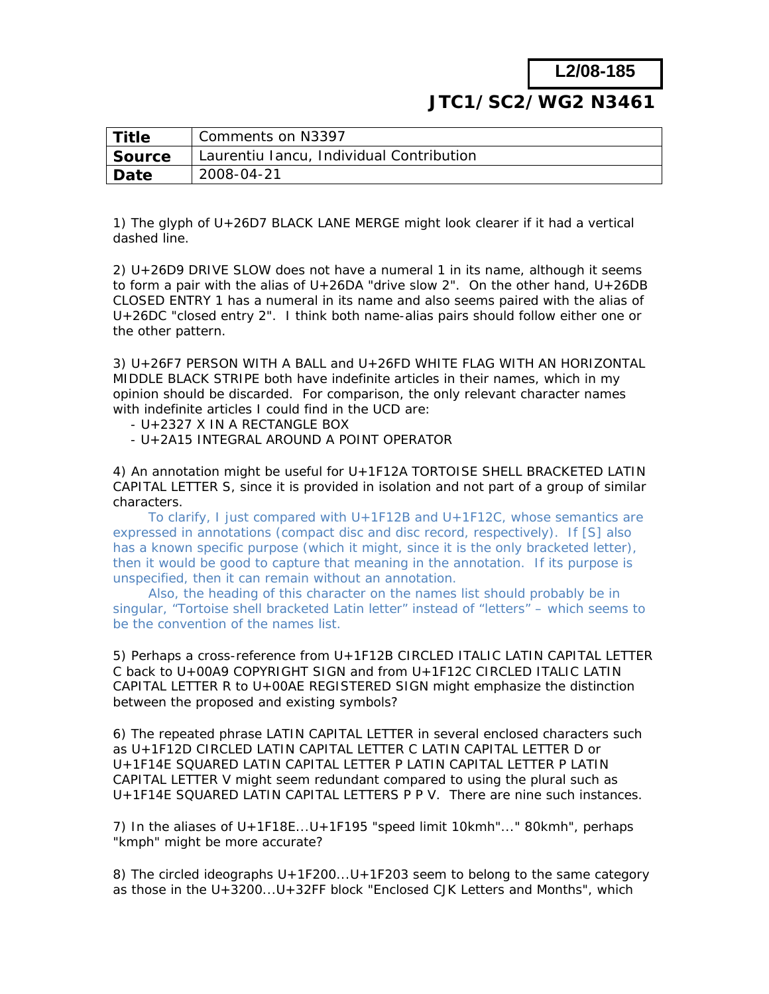**L2/08-185**

## **JTC1/SC2/WG2** *N3461*

| Title         | Comments on N3397                        |
|---------------|------------------------------------------|
| <b>Source</b> | Laurentiu Iancu, Individual Contribution |
| Date          | 2008-04-21                               |

1) The glyph of U+26D7 BLACK LANE MERGE might look clearer if it had a vertical dashed line.

2) U+26D9 DRIVE SLOW does not have a numeral 1 in its name, although it seems to form a pair with the alias of U+26DA "drive slow 2". On the other hand, U+26DB CLOSED ENTRY 1 has a numeral in its name and also seems paired with the alias of U+26DC "closed entry 2". I think both name-alias pairs should follow either one or the other pattern.

3) U+26F7 PERSON WITH A BALL and U+26FD WHITE FLAG WITH AN HORIZONTAL MIDDLE BLACK STRIPE both have indefinite articles in their names, which in my opinion should be discarded. For comparison, the only relevant character names with indefinite articles I could find in the UCD are:

- U+2327 X IN A RECTANGLE BOX
- U+2A15 INTEGRAL AROUND A POINT OPERATOR

4) An annotation might be useful for U+1F12A TORTOISE SHELL BRACKETED LATIN CAPITAL LETTER S, since it is provided in isolation and not part of a group of similar characters.

 To clarify, I just compared with U+1F12B and U+1F12C, whose semantics are expressed in annotations (compact disc and disc record, respectively). If [S] also has a known specific purpose (which it might, since it is the only bracketed letter), then it would be good to capture that meaning in the annotation. If its purpose is unspecified, then it can remain without an annotation.

 Also, the heading of this character on the names list should probably be in singular, "Tortoise shell bracketed Latin letter" instead of "letters" – which seems to be the convention of the names list.

5) Perhaps a cross-reference from U+1F12B CIRCLED ITALIC LATIN CAPITAL LETTER C back to U+00A9 COPYRIGHT SIGN and from U+1F12C CIRCLED ITALIC LATIN CAPITAL LETTER R to U+00AE REGISTERED SIGN might emphasize the distinction between the proposed and existing symbols?

6) The repeated phrase LATIN CAPITAL LETTER in several enclosed characters such as U+1F12D CIRCLED LATIN CAPITAL LETTER C LATIN CAPITAL LETTER D or U+1F14E SQUARED LATIN CAPITAL LETTER P LATIN CAPITAL LETTER P LATIN CAPITAL LETTER V might seem redundant compared to using the plural such as U+1F14E SQUARED LATIN CAPITAL LETTERS P P V. There are nine such instances.

7) In the aliases of U+1F18E...U+1F195 "speed limit 10kmh"..." 80kmh", perhaps "kmph" might be more accurate?

8) The circled ideographs U+1F200...U+1F203 seem to belong to the same category as those in the U+3200...U+32FF block "Enclosed CJK Letters and Months", which